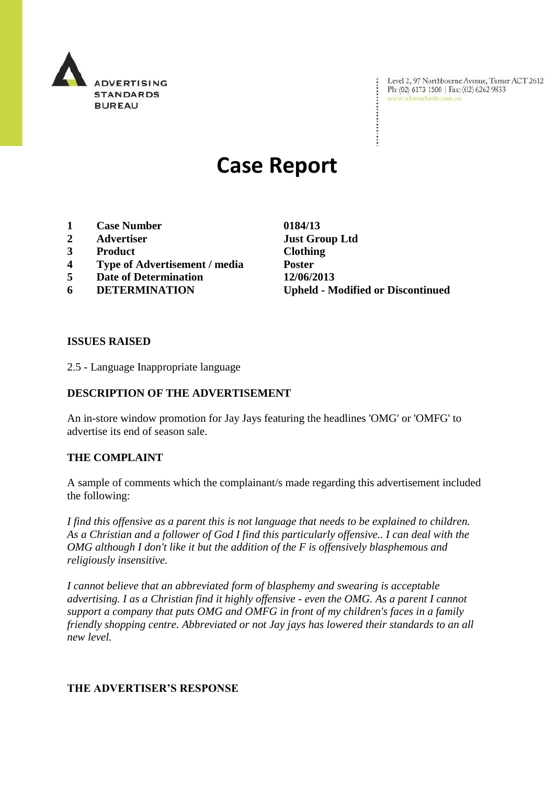

Level 2, 97 Northbourne Avenue, Turner ACT 2612 Ph: (02) 6173 1500 | Fax: (02) 6262 9833 www.adstandards.com.au

# **Case Report**

- **1 Case Number 0184/13**
- **2 Advertiser Just Group Ltd**
- **3 Product Clothing**
- **4 Type of Advertisement / media Poster**
- **5 Date of Determination 12/06/2013**
- 

**6 DETERMINATION Upheld - Modified or Discontinued**

#### **ISSUES RAISED**

2.5 - Language Inappropriate language

## **DESCRIPTION OF THE ADVERTISEMENT**

An in-store window promotion for Jay Jays featuring the headlines 'OMG' or 'OMFG' to advertise its end of season sale.

#### **THE COMPLAINT**

A sample of comments which the complainant/s made regarding this advertisement included the following:

*I find this offensive as a parent this is not language that needs to be explained to children. As a Christian and a follower of God I find this particularly offensive.. I can deal with the OMG although I don't like it but the addition of the F is offensively blasphemous and religiously insensitive.*

*I cannot believe that an abbreviated form of blasphemy and swearing is acceptable advertising. I as a Christian find it highly offensive - even the OMG. As a parent I cannot support a company that puts OMG and OMFG in front of my children's faces in a family friendly shopping centre. Abbreviated or not Jay jays has lowered their standards to an all new level.*

## **THE ADVERTISER'S RESPONSE**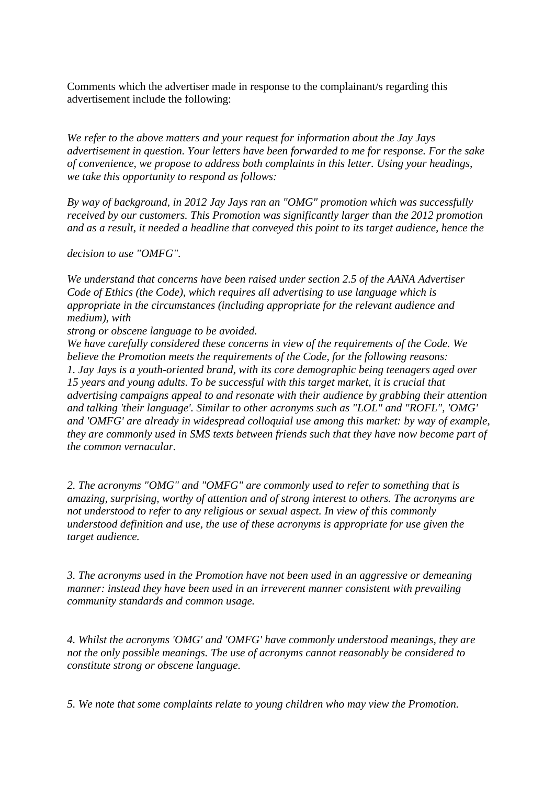Comments which the advertiser made in response to the complainant/s regarding this advertisement include the following:

*We refer to the above matters and your request for information about the Jay Jays advertisement in question. Your letters have been forwarded to me for response. For the sake of convenience, we propose to address both complaints in this letter. Using your headings, we take this opportunity to respond as follows:*

*By way of background, in 2012 Jay Jays ran an "OMG" promotion which was successfully received by our customers. This Promotion was significantly larger than the 2012 promotion and as a result, it needed a headline that conveyed this point to its target audience, hence the*

*decision to use "OMFG".*

*We understand that concerns have been raised under section 2.5 of the AANA Advertiser Code of Ethics (the Code), which requires all advertising to use language which is appropriate in the circumstances (including appropriate for the relevant audience and medium), with*

*strong or obscene language to be avoided.*

*We have carefully considered these concerns in view of the requirements of the Code. We believe the Promotion meets the requirements of the Code, for the following reasons: 1. Jay Jays is a youth-oriented brand, with its core demographic being teenagers aged over 15 years and young adults. To be successful with this target market, it is crucial that advertising campaigns appeal to and resonate with their audience by grabbing their attention and talking 'their language'. Similar to other acronyms such as "LOL" and "ROFL", 'OMG' and 'OMFG' are already in widespread colloquial use among this market: by way of example, they are commonly used in SMS texts between friends such that they have now become part of the common vernacular.*

*2. The acronyms "OMG" and "OMFG" are commonly used to refer to something that is amazing, surprising, worthy of attention and of strong interest to others. The acronyms are not understood to refer to any religious or sexual aspect. In view of this commonly understood definition and use, the use of these acronyms is appropriate for use given the target audience.*

*3. The acronyms used in the Promotion have not been used in an aggressive or demeaning manner: instead they have been used in an irreverent manner consistent with prevailing community standards and common usage.*

*4. Whilst the acronyms 'OMG' and 'OMFG' have commonly understood meanings, they are not the only possible meanings. The use of acronyms cannot reasonably be considered to constitute strong or obscene language.*

*5. We note that some complaints relate to young children who may view the Promotion.*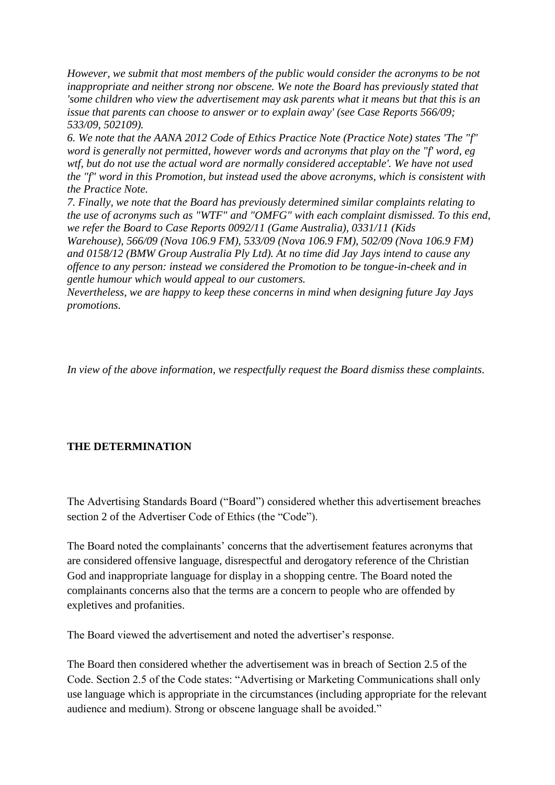*However, we submit that most members of the public would consider the acronyms to be not inappropriate and neither strong nor obscene. We note the Board has previously stated that 'some children who view the advertisement may ask parents what it means but that this is an issue that parents can choose to answer or to explain away' (see Case Reports 566/09; 533/09, 502109).*

*6. We note that the AANA 2012 Code of Ethics Practice Note (Practice Note) states 'The "f" word is generally not permitted, however words and acronyms that play on the "f' word, eg wtf, but do not use the actual word are normally considered acceptable'. We have not used the "f" word in this Promotion, but instead used the above acronyms, which is consistent with the Practice Note.*

*7. Finally, we note that the Board has previously determined similar complaints relating to the use of acronyms such as "WTF" and "OMFG" with each complaint dismissed. To this end, we refer the Board to Case Reports 0092/11 (Game Australia), 0331/11 (Kids*

*Warehouse), 566/09 (Nova 106.9 FM), 533/09 (Nova 106.9 FM), 502/09 (Nova 106.9 FM) and 0158/12 (BMW Group Australia Ply Ltd). At no time did Jay Jays intend to cause any offence to any person: instead we considered the Promotion to be tongue-in-cheek and in gentle humour which would appeal to our customers.*

*Nevertheless, we are happy to keep these concerns in mind when designing future Jay Jays promotions.*

*In view of the above information, we respectfully request the Board dismiss these complaints.*

## **THE DETERMINATION**

The Advertising Standards Board ("Board") considered whether this advertisement breaches section 2 of the Advertiser Code of Ethics (the "Code").

The Board noted the complainants' concerns that the advertisement features acronyms that are considered offensive language, disrespectful and derogatory reference of the Christian God and inappropriate language for display in a shopping centre. The Board noted the complainants concerns also that the terms are a concern to people who are offended by expletives and profanities.

The Board viewed the advertisement and noted the advertiser's response.

The Board then considered whether the advertisement was in breach of Section 2.5 of the Code. Section 2.5 of the Code states: "Advertising or Marketing Communications shall only use language which is appropriate in the circumstances (including appropriate for the relevant audience and medium). Strong or obscene language shall be avoided."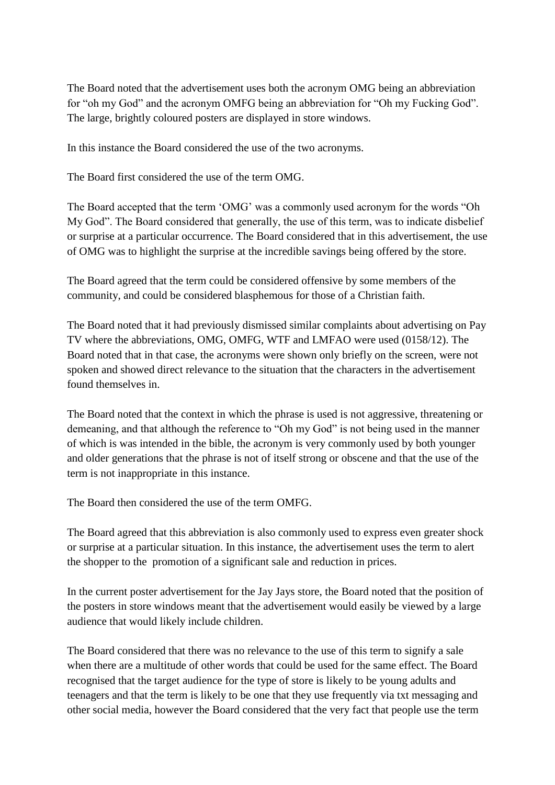The Board noted that the advertisement uses both the acronym OMG being an abbreviation for "oh my God" and the acronym OMFG being an abbreviation for "Oh my Fucking God". The large, brightly coloured posters are displayed in store windows.

In this instance the Board considered the use of the two acronyms.

The Board first considered the use of the term OMG.

The Board accepted that the term "OMG" was a commonly used acronym for the words "Oh My God". The Board considered that generally, the use of this term, was to indicate disbelief or surprise at a particular occurrence. The Board considered that in this advertisement, the use of OMG was to highlight the surprise at the incredible savings being offered by the store.

The Board agreed that the term could be considered offensive by some members of the community, and could be considered blasphemous for those of a Christian faith.

The Board noted that it had previously dismissed similar complaints about advertising on Pay TV where the abbreviations, OMG, OMFG, WTF and LMFAO were used (0158/12). The Board noted that in that case, the acronyms were shown only briefly on the screen, were not spoken and showed direct relevance to the situation that the characters in the advertisement found themselves in.

The Board noted that the context in which the phrase is used is not aggressive, threatening or demeaning, and that although the reference to "Oh my God" is not being used in the manner of which is was intended in the bible, the acronym is very commonly used by both younger and older generations that the phrase is not of itself strong or obscene and that the use of the term is not inappropriate in this instance.

The Board then considered the use of the term OMFG.

The Board agreed that this abbreviation is also commonly used to express even greater shock or surprise at a particular situation. In this instance, the advertisement uses the term to alert the shopper to the promotion of a significant sale and reduction in prices.

In the current poster advertisement for the Jay Jays store, the Board noted that the position of the posters in store windows meant that the advertisement would easily be viewed by a large audience that would likely include children.

The Board considered that there was no relevance to the use of this term to signify a sale when there are a multitude of other words that could be used for the same effect. The Board recognised that the target audience for the type of store is likely to be young adults and teenagers and that the term is likely to be one that they use frequently via txt messaging and other social media, however the Board considered that the very fact that people use the term